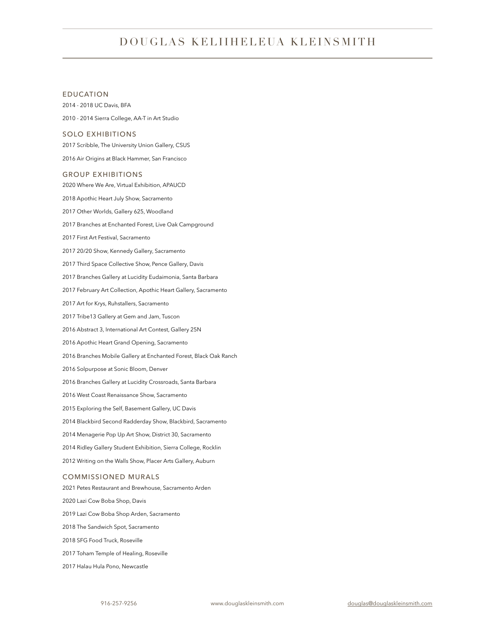# DOUGLAS KELIIHELEUA KLEINSMITH

# EDUCATION

2014 - 2018 UC Davis, BFA 2010 - 2014 Sierra College, AA-T in Art Studio

# SOLO EXHIBITIONS

2017 Scribble, The University Union Gallery, CSUS

2016 Air Origins at Black Hammer, San Francisco

#### GROUP EXHIBITIONS

2020 Where We Are, Virtual Exhibition, APAUCD 2018 Apothic Heart July Show, Sacramento 2017 Other Worlds, Gallery 625, Woodland 2017 Branches at Enchanted Forest, Live Oak Campground 2017 First Art Festival, Sacramento 2017 20/20 Show, Kennedy Gallery, Sacramento 2017 Third Space Collective Show, Pence Gallery, Davis 2017 Branches Gallery at Lucidity Eudaimonia, Santa Barbara 2017 February Art Collection, Apothic Heart Gallery, Sacramento 2017 Art for Krys, Ruhstallers, Sacramento 2017 Tribe13 Gallery at Gem and Jam, Tuscon 2016 Abstract 3, International Art Contest, Gallery 25N 2016 Apothic Heart Grand Opening, Sacramento 2016 Branches Mobile Gallery at Enchanted Forest, Black Oak Ranch 2016 Solpurpose at Sonic Bloom, Denver 2016 Branches Gallery at Lucidity Crossroads, Santa Barbara 2016 West Coast Renaissance Show, Sacramento 2015 Exploring the Self, Basement Gallery, UC Davis 2014 Blackbird Second Radderday Show, Blackbird, Sacramento 2014 Menagerie Pop Up Art Show, District 30, Sacramento 2014 Ridley Gallery Student Exhibition, Sierra College, Rocklin 2012 Writing on the Walls Show, Placer Arts Gallery, Auburn COMMISSIONED MURALS 2021 Petes Restaurant and Brewhouse, Sacramento Arden

2020 Lazi Cow Boba Shop, Davis 2019 Lazi Cow Boba Shop Arden, Sacramento 2018 The Sandwich Spot, Sacramento 2018 SFG Food Truck, Roseville 2017 Toham Temple of Healing, Roseville 2017 Halau Hula Pono, Newcastle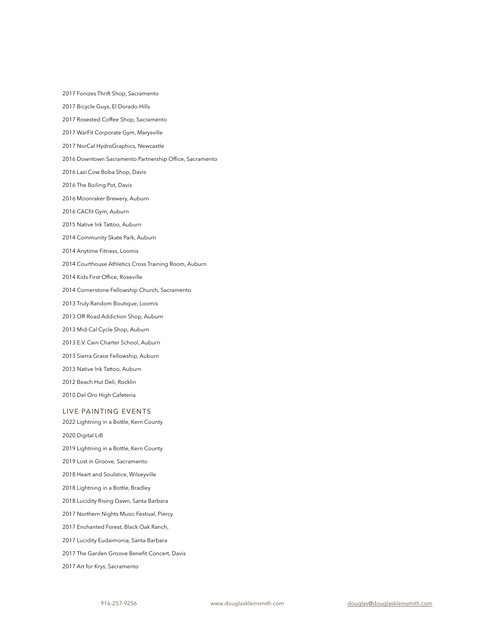2017 Fonizes Thrift Shop, Sacramento

2017 Bicycle Guys, El Dorado Hills

- 2017 Rosested Coffee Shop, Sacramento
- 2017 WarFit Corporate Gym, Marysville
- 2017 NorCal HydroGraphics, Newcastle
- 2016 Downtown Sacramento Partnership Office, Sacramento
- 2016 Lazi Cow Boba Shop, Davis
- 2016 The Boiling Pot, Davis
- 2016 Moonraker Brewery, Auburn
- 2016 CACfit Gym, Auburn
- 2015 Native Ink Tattoo, Auburn
- 2014 Community Skate Park, Auburn
- 2014 Anytime Fitness, Loomis
- 2014 Courthouse Athletics Cross Training Room, Auburn
- 2014 Kids First Office, Roseville
- 2014 Cornerstone Fellowship Church, Sacramento
- 2013 Truly Random Boutique, Loomis
- 2013 Off-Road Addiction Shop, Auburn
- 2013 Mid-Cal Cycle Shop, Auburn
- 2013 E.V. Cain Charter School, Auburn
- 2013 Sierra Grace Fellowship, Auburn
- 2013 Native Ink Tattoo, Auburn
- 2012 Beach Hut Deli, Rocklin
- 2010 Del Oro High Cafeteria

# LIVE PAINTING EVENTS

2022 Lightning in a Bottle, Kern County

2020 Digital LiB

2019 Lightning in a Bottle, Kern County

2019 Lost in Groove, Sacramento

2018 Heart and Soulstice, Wilseyville

2018 Lightning in a Bottle, Bradley

2018 Lucidity Rising Dawn, Santa Barbara

2017 Northern Nights Music Festival, Piercy

- 2017 Enchanted Forest, Black Oak Ranch,
- 2017 Lucidity Eudaimonia, Santa Barbara
- 2017 The Garden Groove Benefit Concert, Davis
- 2017 Art for Krys, Sacramento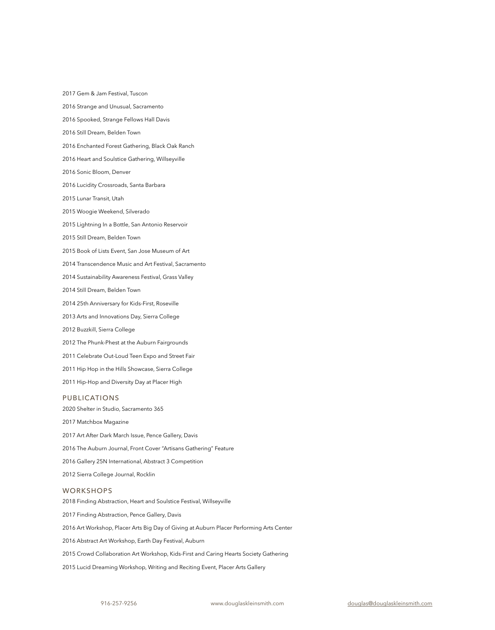2017 Gem & Jam Festival, Tuscon

2016 Strange and Unusual, Sacramento

2016 Spooked, Strange Fellows Hall Davis

2016 Still Dream, Belden Town

2016 Enchanted Forest Gathering, Black Oak Ranch

2016 Heart and Soulstice Gathering, Willseyville

2016 Sonic Bloom, Denver

2016 Lucidity Crossroads, Santa Barbara

2015 Lunar Transit, Utah

2015 Woogie Weekend, Silverado

2015 Lightning In a Bottle, San Antonio Reservoir

2015 Still Dream, Belden Town

2015 Book of Lists Event, San Jose Museum of Art

2014 Transcendence Music and Art Festival, Sacramento

2014 Sustainability Awareness Festival, Grass Valley

2014 Still Dream, Belden Town

2014 25th Anniversary for Kids-First, Roseville

2013 Arts and Innovations Day, Sierra College

2012 Buzzkill, Sierra College

2012 The Phunk-Phest at the Auburn Fairgrounds

2011 Celebrate Out-Loud Teen Expo and Street Fair

2011 Hip Hop in the Hills Showcase, Sierra College

2011 Hip-Hop and Diversity Day at Placer High

# PUBLICATIONS

2020 Shelter in Studio, Sacramento 365

2017 Matchbox Magazine

2017 Art After Dark March Issue, Pence Gallery, Davis

2016 The Auburn Journal, Front Cover "Artisans Gathering" Feature

2016 Gallery 25N International, Abstract 3 Competition

2012 Sierra College Journal, Rocklin

### **WORKSHOPS**

2018 Finding Abstraction, Heart and Soulstice Festival, Willseyville 2017 Finding Abstraction, Pence Gallery, Davis 2016 Art Workshop, Placer Arts Big Day of Giving at Auburn Placer Performing Arts Center 2016 Abstract Art Workshop, Earth Day Festival, Auburn 2015 Crowd Collaboration Art Workshop, Kids-First and Caring Hearts Society Gathering 2015 Lucid Dreaming Workshop, Writing and Reciting Event, Placer Arts Gallery